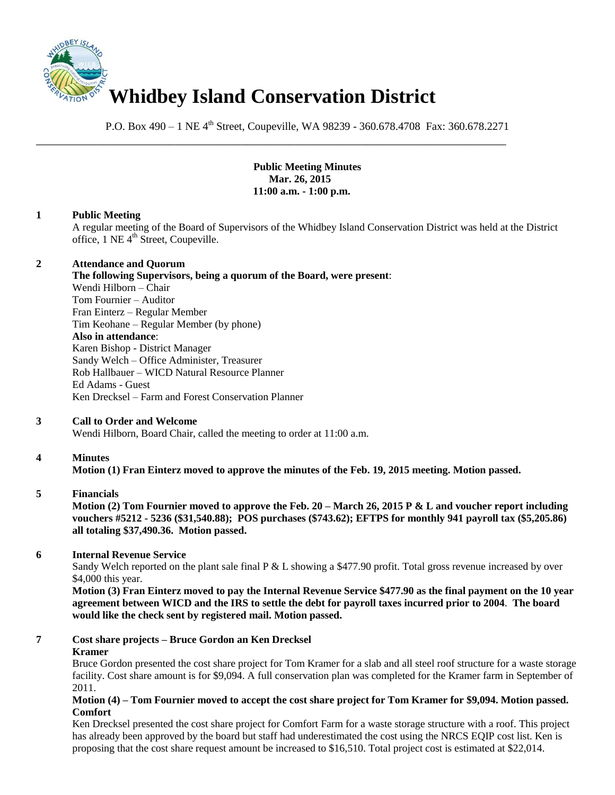

P.O. Box 490 – 1 NE 4<sup>th</sup> Street, Coupeville, WA 98239 - 360.678.4708 Fax: 360.678.2271

\_\_\_\_\_\_\_\_\_\_\_\_\_\_\_\_\_\_\_\_\_\_\_\_\_\_\_\_\_\_\_\_\_\_\_\_\_\_\_\_\_\_\_\_\_\_\_\_\_\_\_\_\_\_\_\_\_\_\_\_\_\_\_\_\_\_\_\_\_\_\_\_\_\_\_\_\_\_

**Public Meeting Minutes Mar. 26, 2015 11:00 a.m. - 1:00 p.m.**

#### **1 Public Meeting**

A regular meeting of the Board of Supervisors of the Whidbey Island Conservation District was held at the District office, 1 NE 4<sup>th</sup> Street, Coupeville.

#### **2 Attendance and Quorum**

**The following Supervisors, being a quorum of the Board, were present**: Wendi Hilborn – Chair Tom Fournier – Auditor Fran Einterz – Regular Member Tim Keohane – Regular Member (by phone) **Also in attendance**: Karen Bishop - District Manager Sandy Welch – Office Administer, Treasurer Rob Hallbauer – WICD Natural Resource Planner Ed Adams - Guest Ken Drecksel – Farm and Forest Conservation Planner

### **3 Call to Order and Welcome**

Wendi Hilborn, Board Chair, called the meeting to order at 11:00 a.m.

### **4 Minutes**

**Motion (1) Fran Einterz moved to approve the minutes of the Feb. 19, 2015 meeting. Motion passed.** 

#### **5 Financials**

**Motion (2) Tom Fournier moved to approve the Feb. 20 – March 26, 2015 P & L and voucher report including vouchers #5212 - 5236 (\$31,540.88); POS purchases (\$743.62); EFTPS for monthly 941 payroll tax (\$5,205.86) all totaling \$37,490.36. Motion passed.** 

### **6 Internal Revenue Service**

Sandy Welch reported on the plant sale final P & L showing a \$477.90 profit. Total gross revenue increased by over \$4,000 this year.

**Motion (3) Fran Einterz moved to pay the Internal Revenue Service \$477.90 as the final payment on the 10 year agreement between WICD and the IRS to settle the debt for payroll taxes incurred prior to 2004**. **The board would like the check sent by registered mail. Motion passed.** 

### **7 Cost share projects – Bruce Gordon an Ken Drecksel Kramer**

Bruce Gordon presented the cost share project for Tom Kramer for a slab and all steel roof structure for a waste storage facility. Cost share amount is for \$9,094. A full conservation plan was completed for the Kramer farm in September of 2011.

#### **Motion (4) – Tom Fournier moved to accept the cost share project for Tom Kramer for \$9,094. Motion passed. Comfort**

Ken Drecksel presented the cost share project for Comfort Farm for a waste storage structure with a roof. This project has already been approved by the board but staff had underestimated the cost using the NRCS EQIP cost list. Ken is proposing that the cost share request amount be increased to \$16,510. Total project cost is estimated at \$22,014.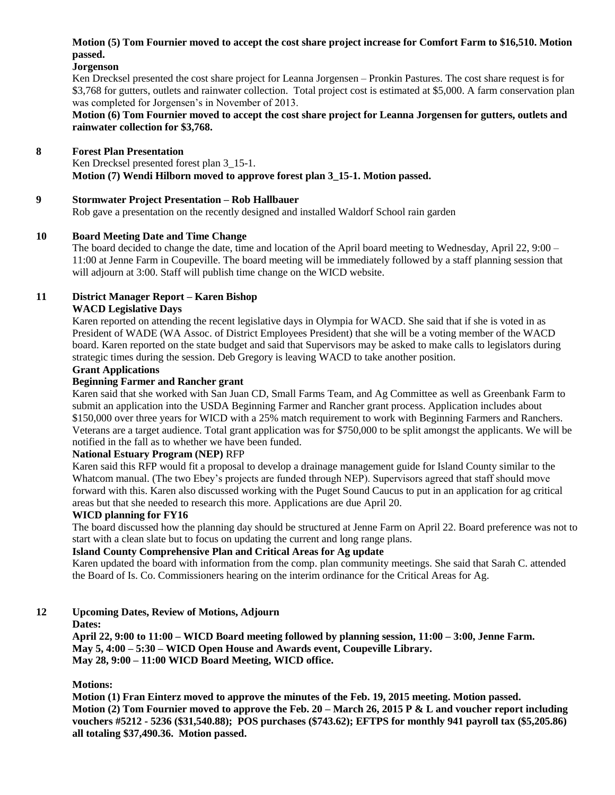# **Motion (5) Tom Fournier moved to accept the cost share project increase for Comfort Farm to \$16,510. Motion passed.**

**Jorgenson**

Ken Drecksel presented the cost share project for Leanna Jorgensen – Pronkin Pastures. The cost share request is for \$3,768 for gutters, outlets and rainwater collection. Total project cost is estimated at \$5,000. A farm conservation plan was completed for Jorgensen's in November of 2013.

### **Motion (6) Tom Fournier moved to accept the cost share project for Leanna Jorgensen for gutters, outlets and rainwater collection for \$3,768.**

# **8 Forest Plan Presentation**

Ken Drecksel presented forest plan  $3_{15}$ -1. **Motion (7) Wendi Hilborn moved to approve forest plan 3\_15-1. Motion passed.** 

### **9 Stormwater Project Presentation – Rob Hallbauer**

Rob gave a presentation on the recently designed and installed Waldorf School rain garden

# **10 Board Meeting Date and Time Change**

The board decided to change the date, time and location of the April board meeting to Wednesday, April 22, 9:00 – 11:00 at Jenne Farm in Coupeville. The board meeting will be immediately followed by a staff planning session that will adjourn at 3:00. Staff will publish time change on the WICD website.

# **11 District Manager Report – Karen Bishop**

### **WACD Legislative Days**

Karen reported on attending the recent legislative days in Olympia for WACD. She said that if she is voted in as President of WADE (WA Assoc. of District Employees President) that she will be a voting member of the WACD board. Karen reported on the state budget and said that Supervisors may be asked to make calls to legislators during strategic times during the session. Deb Gregory is leaving WACD to take another position.

### **Grant Applications**

### **Beginning Farmer and Rancher grant**

Karen said that she worked with San Juan CD, Small Farms Team, and Ag Committee as well as Greenbank Farm to submit an application into the USDA Beginning Farmer and Rancher grant process. Application includes about \$150,000 over three years for WICD with a 25% match requirement to work with Beginning Farmers and Ranchers. Veterans are a target audience. Total grant application was for \$750,000 to be split amongst the applicants. We will be notified in the fall as to whether we have been funded.

### **National Estuary Program (NEP)** RFP

Karen said this RFP would fit a proposal to develop a drainage management guide for Island County similar to the Whatcom manual. (The two Ebey's projects are funded through NEP). Supervisors agreed that staff should move forward with this. Karen also discussed working with the Puget Sound Caucus to put in an application for ag critical areas but that she needed to research this more. Applications are due April 20.

### **WICD planning for FY16**

The board discussed how the planning day should be structured at Jenne Farm on April 22. Board preference was not to start with a clean slate but to focus on updating the current and long range plans.

### **Island County Comprehensive Plan and Critical Areas for Ag update**

Karen updated the board with information from the comp. plan community meetings. She said that Sarah C. attended the Board of Is. Co. Commissioners hearing on the interim ordinance for the Critical Areas for Ag.

### **12 Upcoming Dates, Review of Motions, Adjourn**

# **Dates:**

**April 22, 9:00 to 11:00 – WICD Board meeting followed by planning session, 11:00 – 3:00, Jenne Farm. May 5, 4:00 – 5:30 – WICD Open House and Awards event, Coupeville Library. May 28, 9:00 – 11:00 WICD Board Meeting, WICD office.** 

### **Motions:**

**Motion (1) Fran Einterz moved to approve the minutes of the Feb. 19, 2015 meeting. Motion passed. Motion (2) Tom Fournier moved to approve the Feb. 20 – March 26, 2015 P & L and voucher report including vouchers #5212 - 5236 (\$31,540.88); POS purchases (\$743.62); EFTPS for monthly 941 payroll tax (\$5,205.86) all totaling \$37,490.36. Motion passed.**